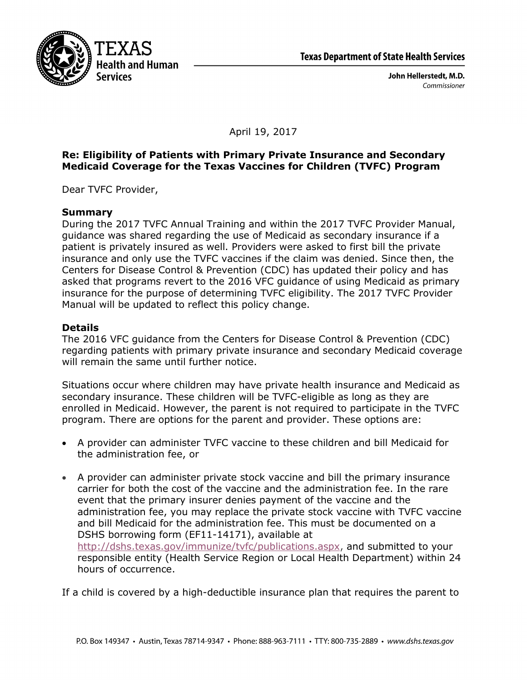

John Hellerstedt, M.D. Commissioner

April 19, 2017

## **Re: Eligibility of Patients with Primary Private Insurance and Secondary Medicaid Coverage for the Texas Vaccines for Children (TVFC) Program**

Dear TVFC Provider,

## **Summary**

During the 2017 TVFC Annual Training and within the 2017 TVFC Provider Manual, guidance was shared regarding the use of Medicaid as secondary insurance if a patient is privately insured as well. Providers were asked to first bill the private insurance and only use the TVFC vaccines if the claim was denied. Since then, the Centers for Disease Control & Prevention (CDC) has updated their policy and has asked that programs revert to the 2016 VFC guidance of using Medicaid as primary insurance for the purpose of determining TVFC eligibility. The 2017 TVFC Provider Manual will be updated to reflect this policy change.

## **Details**

The 2016 VFC guidance from the Centers for Disease Control & Prevention (CDC) regarding patients with primary private insurance and secondary Medicaid coverage will remain the same until further notice.

Situations occur where children may have private health insurance and Medicaid as secondary insurance. These children will be TVFC-eligible as long as they are enrolled in Medicaid. However, the parent is not required to participate in the TVFC program. There are options for the parent and provider. These options are:

- A provider can administer TVFC vaccine to these children and bill Medicaid for the administration fee, or
- A provider can administer private stock vaccine and bill the primary insurance carrier for both the cost of the vaccine and the administration fee. In the rare event that the primary insurer denies payment of the vaccine and the administration fee, you may replace the private stock vaccine with TVFC vaccine and bill Medicaid for the administration fee. This must be documented on a DSHS borrowing form (EF11-14171), available at http://dshs.texas.gov/immunize/tvfc/publications.aspx, and submitted to your responsible entity (Health Service Region or Local Health Department) within 24 hours of occurrence.

If a child is covered by a high-deductible insurance plan that requires the parent to